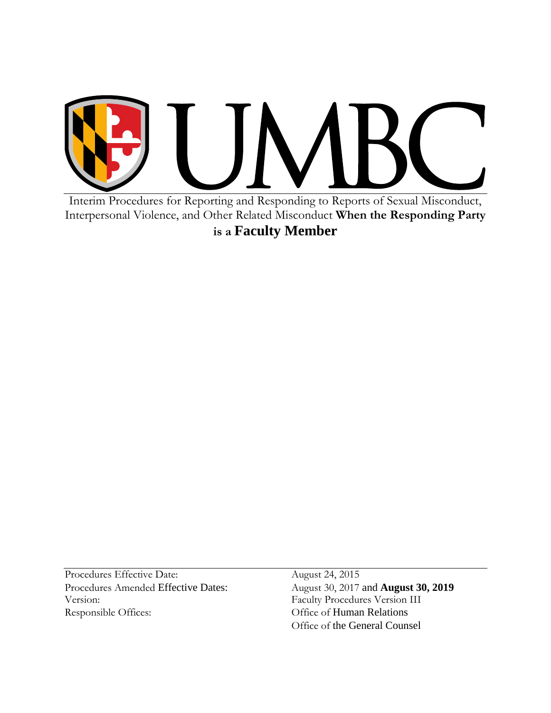

Interim Procedures for Reporting and Responding to Reports of Sexual Misconduct, Interpersonal Violence, and Other Related Misconduct **When the Responding Party is a Faculty Member**

Procedures Effective Date: August 24, 2015 Procedures Amended Effective Dates: August 30, 2017 and **August 30, 2019** Version: Faculty Procedures Version III Responsible Offices: Office of Human Relations

Office of the General Counsel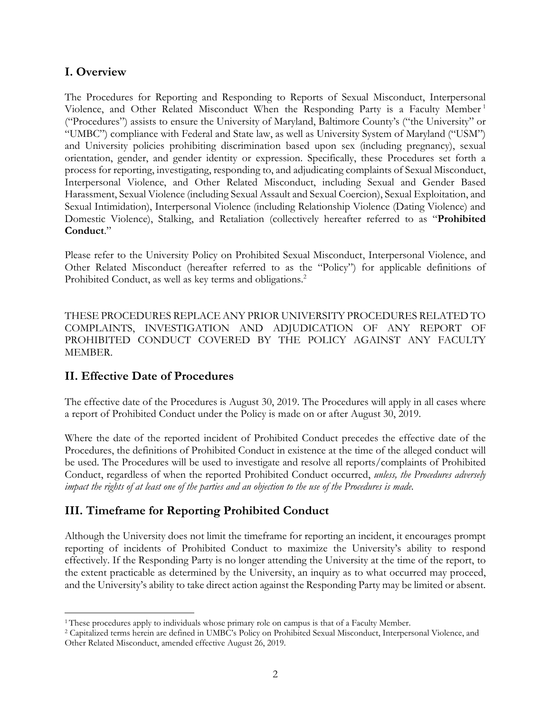### **I. Overview**

The Procedures for Reporting and Responding to Reports of Sexual Misconduct, Interpersonal Violence, and Other Related Misconduct When the Responding Party is a Faculty Member <sup>1</sup> ("Procedures") assists to ensure the University of Maryland, Baltimore County's ("the University" or "UMBC") compliance with Federal and State law, as well as University System of Maryland ("USM") and University policies prohibiting discrimination based upon sex (including pregnancy), sexual orientation, gender, and gender identity or expression. Specifically, these Procedures set forth a process for reporting, investigating, responding to, and adjudicating complaints of Sexual Misconduct, Interpersonal Violence, and Other Related Misconduct, including Sexual and Gender Based Harassment, Sexual Violence (including Sexual Assault and Sexual Coercion), Sexual Exploitation, and Sexual Intimidation), Interpersonal Violence (including Relationship Violence (Dating Violence) and Domestic Violence), Stalking, and Retaliation (collectively hereafter referred to as "**Prohibited Conduct**."

Please refer to the University Policy on Prohibited Sexual Misconduct, Interpersonal Violence, and Other Related Misconduct (hereafter referred to as the "Policy") for applicable definitions of Prohibited Conduct, as well as key terms and obligations.<sup>2</sup>

THESE PROCEDURES REPLACE ANY PRIOR UNIVERSITY PROCEDURES RELATED TO COMPLAINTS, INVESTIGATION AND ADJUDICATION OF ANY REPORT OF PROHIBITED CONDUCT COVERED BY THE POLICY AGAINST ANY FACULTY MEMBER.

### **II. Effective Date of Procedures**

 $\overline{a}$ 

The effective date of the Procedures is August 30, 2019. The Procedures will apply in all cases where a report of Prohibited Conduct under the Policy is made on or after August 30, 2019.

Where the date of the reported incident of Prohibited Conduct precedes the effective date of the Procedures, the definitions of Prohibited Conduct in existence at the time of the alleged conduct will be used. The Procedures will be used to investigate and resolve all reports/complaints of Prohibited Conduct, regardless of when the reported Prohibited Conduct occurred, *unless, the Procedures adversely impact the rights of at least one of the parties and an objection to the use of the Procedures is made*.

# **III. Timeframe for Reporting Prohibited Conduct**

Although the University does not limit the timeframe for reporting an incident, it encourages prompt reporting of incidents of Prohibited Conduct to maximize the University's ability to respond effectively. If the Responding Party is no longer attending the University at the time of the report, to the extent practicable as determined by the University, an inquiry as to what occurred may proceed, and the University's ability to take direct action against the Responding Party may be limited or absent.

<sup>&</sup>lt;sup>1</sup> These procedures apply to individuals whose primary role on campus is that of a Faculty Member.

<sup>2</sup> Capitalized terms herein are defined in UMBC's Policy on Prohibited Sexual Misconduct, Interpersonal Violence, and Other Related Misconduct, amended effective August 26, 2019.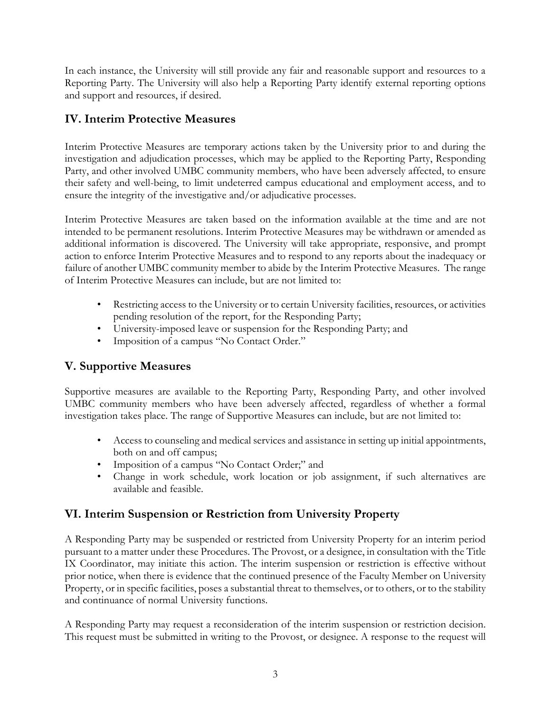In each instance, the University will still provide any fair and reasonable support and resources to a Reporting Party. The University will also help a Reporting Party identify external reporting options and support and resources, if desired.

# **IV. Interim Protective Measures**

Interim Protective Measures are temporary actions taken by the University prior to and during the investigation and adjudication processes, which may be applied to the Reporting Party, Responding Party, and other involved UMBC community members, who have been adversely affected, to ensure their safety and well-being, to limit undeterred campus educational and employment access, and to ensure the integrity of the investigative and/or adjudicative processes.

Interim Protective Measures are taken based on the information available at the time and are not intended to be permanent resolutions. Interim Protective Measures may be withdrawn or amended as additional information is discovered. The University will take appropriate, responsive, and prompt action to enforce Interim Protective Measures and to respond to any reports about the inadequacy or failure of another UMBC community member to abide by the Interim Protective Measures. The range of Interim Protective Measures can include, but are not limited to:

- Restricting access to the University or to certain University facilities, resources, or activities pending resolution of the report, for the Responding Party;
- University-imposed leave or suspension for the Responding Party; and
- Imposition of a campus "No Contact Order."

# **V. Supportive Measures**

Supportive measures are available to the Reporting Party, Responding Party, and other involved UMBC community members who have been adversely affected, regardless of whether a formal investigation takes place. The range of Supportive Measures can include, but are not limited to:

- Access to counseling and medical services and assistance in setting up initial appointments, both on and off campus;
- Imposition of a campus "No Contact Order;" and
- Change in work schedule, work location or job assignment, if such alternatives are available and feasible.

# **VI. Interim Suspension or Restriction from University Property**

A Responding Party may be suspended or restricted from University Property for an interim period pursuant to a matter under these Procedures. The Provost, or a designee, in consultation with the Title IX Coordinator, may initiate this action. The interim suspension or restriction is effective without prior notice, when there is evidence that the continued presence of the Faculty Member on University Property, or in specific facilities, poses a substantial threat to themselves, or to others, or to the stability and continuance of normal University functions.

A Responding Party may request a reconsideration of the interim suspension or restriction decision. This request must be submitted in writing to the Provost, or designee. A response to the request will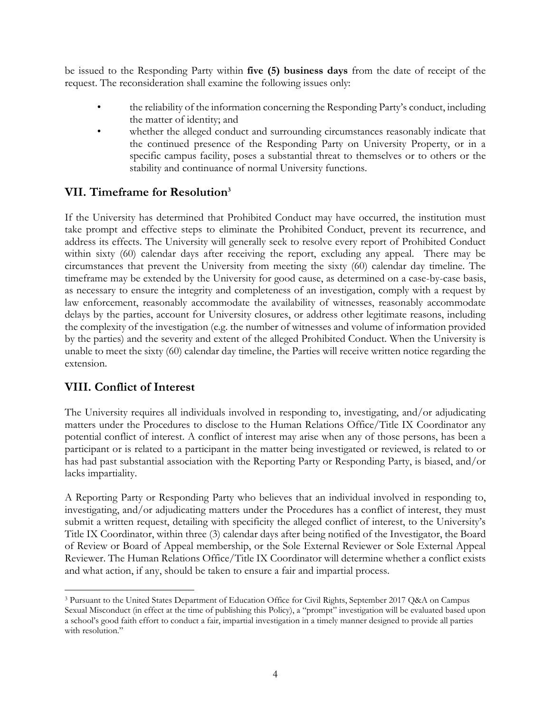be issued to the Responding Party within **five (5) business days** from the date of receipt of the request. The reconsideration shall examine the following issues only:

- the reliability of the information concerning the Responding Party's conduct, including the matter of identity; and
- whether the alleged conduct and surrounding circumstances reasonably indicate that the continued presence of the Responding Party on University Property, or in a specific campus facility, poses a substantial threat to themselves or to others or the stability and continuance of normal University functions.

### **VII. Timeframe for Resolution<sup>3</sup>**

If the University has determined that Prohibited Conduct may have occurred, the institution must take prompt and effective steps to eliminate the Prohibited Conduct, prevent its recurrence, and address its effects. The University will generally seek to resolve every report of Prohibited Conduct within sixty (60) calendar days after receiving the report, excluding any appeal. There may be circumstances that prevent the University from meeting the sixty (60) calendar day timeline. The timeframe may be extended by the University for good cause, as determined on a case-by-case basis, as necessary to ensure the integrity and completeness of an investigation, comply with a request by law enforcement, reasonably accommodate the availability of witnesses, reasonably accommodate delays by the parties, account for University closures, or address other legitimate reasons, including the complexity of the investigation (e.g. the number of witnesses and volume of information provided by the parties) and the severity and extent of the alleged Prohibited Conduct. When the University is unable to meet the sixty (60) calendar day timeline, the Parties will receive written notice regarding the extension.

### **VIII. Conflict of Interest**

 $\overline{a}$ 

The University requires all individuals involved in responding to, investigating, and/or adjudicating matters under the Procedures to disclose to the Human Relations Office/Title IX Coordinator any potential conflict of interest. A conflict of interest may arise when any of those persons, has been a participant or is related to a participant in the matter being investigated or reviewed, is related to or has had past substantial association with the Reporting Party or Responding Party, is biased, and/or lacks impartiality.

A Reporting Party or Responding Party who believes that an individual involved in responding to, investigating, and/or adjudicating matters under the Procedures has a conflict of interest, they must submit a written request, detailing with specificity the alleged conflict of interest, to the University's Title IX Coordinator, within three (3) calendar days after being notified of the Investigator, the Board of Review or Board of Appeal membership, or the Sole External Reviewer or Sole External Appeal Reviewer. The Human Relations Office/Title IX Coordinator will determine whether a conflict exists and what action, if any, should be taken to ensure a fair and impartial process.

<sup>3</sup> Pursuant to the United States Department of Education Office for Civil Rights, September 2017 Q&A on Campus Sexual Misconduct (in effect at the time of publishing this Policy), a "prompt" investigation will be evaluated based upon a school's good faith effort to conduct a fair, impartial investigation in a timely manner designed to provide all parties with resolution."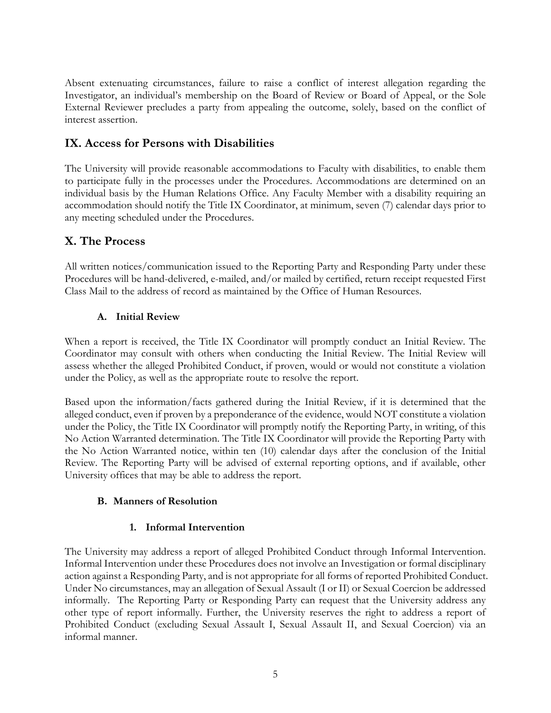Absent extenuating circumstances, failure to raise a conflict of interest allegation regarding the Investigator, an individual's membership on the Board of Review or Board of Appeal, or the Sole External Reviewer precludes a party from appealing the outcome, solely, based on the conflict of interest assertion.

### **IX. Access for Persons with Disabilities**

The University will provide reasonable accommodations to Faculty with disabilities, to enable them to participate fully in the processes under the Procedures. Accommodations are determined on an individual basis by the Human Relations Office. Any Faculty Member with a disability requiring an accommodation should notify the Title IX Coordinator, at minimum, seven (7) calendar days prior to any meeting scheduled under the Procedures.

### **X. The Process**

All written notices/communication issued to the Reporting Party and Responding Party under these Procedures will be hand-delivered, e-mailed, and/or mailed by certified, return receipt requested First Class Mail to the address of record as maintained by the Office of Human Resources.

#### **A. Initial Review**

When a report is received, the Title IX Coordinator will promptly conduct an Initial Review. The Coordinator may consult with others when conducting the Initial Review. The Initial Review will assess whether the alleged Prohibited Conduct, if proven, would or would not constitute a violation under the Policy, as well as the appropriate route to resolve the report.

Based upon the information/facts gathered during the Initial Review, if it is determined that the alleged conduct, even if proven by a preponderance of the evidence, would NOT constitute a violation under the Policy, the Title IX Coordinator will promptly notify the Reporting Party, in writing, of this No Action Warranted determination. The Title IX Coordinator will provide the Reporting Party with the No Action Warranted notice, within ten (10) calendar days after the conclusion of the Initial Review. The Reporting Party will be advised of external reporting options, and if available, other University offices that may be able to address the report.

#### **B. Manners of Resolution**

#### **1. Informal Intervention**

The University may address a report of alleged Prohibited Conduct through Informal Intervention. Informal Intervention under these Procedures does not involve an Investigation or formal disciplinary action against a Responding Party, and is not appropriate for all forms of reported Prohibited Conduct. Under No circumstances, may an allegation of Sexual Assault (I or II) or Sexual Coercion be addressed informally. The Reporting Party or Responding Party can request that the University address any other type of report informally. Further, the University reserves the right to address a report of Prohibited Conduct (excluding Sexual Assault I, Sexual Assault II, and Sexual Coercion) via an informal manner.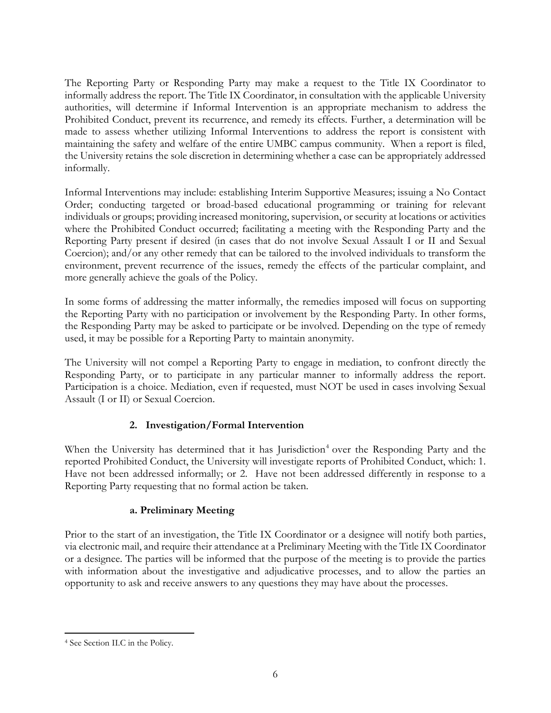The Reporting Party or Responding Party may make a request to the Title IX Coordinator to informally address the report. The Title IX Coordinator, in consultation with the applicable University authorities, will determine if Informal Intervention is an appropriate mechanism to address the Prohibited Conduct, prevent its recurrence, and remedy its effects. Further, a determination will be made to assess whether utilizing Informal Interventions to address the report is consistent with maintaining the safety and welfare of the entire UMBC campus community. When a report is filed, the University retains the sole discretion in determining whether a case can be appropriately addressed informally.

Informal Interventions may include: establishing Interim Supportive Measures; issuing a No Contact Order; conducting targeted or broad-based educational programming or training for relevant individuals or groups; providing increased monitoring, supervision, or security at locations or activities where the Prohibited Conduct occurred; facilitating a meeting with the Responding Party and the Reporting Party present if desired (in cases that do not involve Sexual Assault I or II and Sexual Coercion); and/or any other remedy that can be tailored to the involved individuals to transform the environment, prevent recurrence of the issues, remedy the effects of the particular complaint, and more generally achieve the goals of the Policy.

In some forms of addressing the matter informally, the remedies imposed will focus on supporting the Reporting Party with no participation or involvement by the Responding Party. In other forms, the Responding Party may be asked to participate or be involved. Depending on the type of remedy used, it may be possible for a Reporting Party to maintain anonymity.

The University will not compel a Reporting Party to engage in mediation, to confront directly the Responding Party, or to participate in any particular manner to informally address the report. Participation is a choice. Mediation, even if requested, must NOT be used in cases involving Sexual Assault (I or II) or Sexual Coercion.

#### **2. Investigation/Formal Intervention**

When the University has determined that it has Jurisdiction<sup>4</sup> over the Responding Party and the reported Prohibited Conduct, the University will investigate reports of Prohibited Conduct, which: 1. Have not been addressed informally; or 2. Have not been addressed differently in response to a Reporting Party requesting that no formal action be taken.

#### **a. Preliminary Meeting**

Prior to the start of an investigation, the Title IX Coordinator or a designee will notify both parties, via electronic mail, and require their attendance at a Preliminary Meeting with the Title IX Coordinator or a designee. The parties will be informed that the purpose of the meeting is to provide the parties with information about the investigative and adjudicative processes, and to allow the parties an opportunity to ask and receive answers to any questions they may have about the processes.

 $\overline{a}$ 

<sup>4</sup> See Section II.C in the Policy.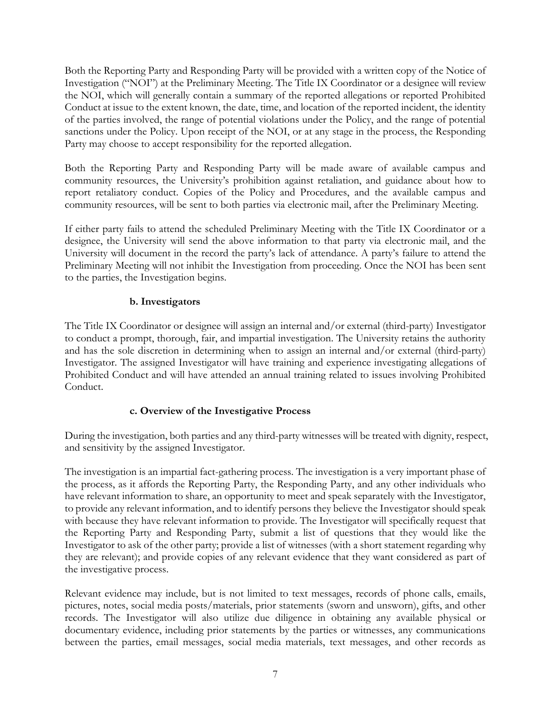Both the Reporting Party and Responding Party will be provided with a written copy of the Notice of Investigation ("NOI") at the Preliminary Meeting. The Title IX Coordinator or a designee will review the NOI, which will generally contain a summary of the reported allegations or reported Prohibited Conduct at issue to the extent known, the date, time, and location of the reported incident, the identity of the parties involved, the range of potential violations under the Policy, and the range of potential sanctions under the Policy. Upon receipt of the NOI, or at any stage in the process, the Responding Party may choose to accept responsibility for the reported allegation.

Both the Reporting Party and Responding Party will be made aware of available campus and community resources, the University's prohibition against retaliation, and guidance about how to report retaliatory conduct. Copies of the Policy and Procedures, and the available campus and community resources, will be sent to both parties via electronic mail, after the Preliminary Meeting.

If either party fails to attend the scheduled Preliminary Meeting with the Title IX Coordinator or a designee, the University will send the above information to that party via electronic mail, and the University will document in the record the party's lack of attendance. A party's failure to attend the Preliminary Meeting will not inhibit the Investigation from proceeding. Once the NOI has been sent to the parties, the Investigation begins.

#### **b. Investigators**

The Title IX Coordinator or designee will assign an internal and/or external (third-party) Investigator to conduct a prompt, thorough, fair, and impartial investigation. The University retains the authority and has the sole discretion in determining when to assign an internal and/or external (third-party) Investigator. The assigned Investigator will have training and experience investigating allegations of Prohibited Conduct and will have attended an annual training related to issues involving Prohibited Conduct.

#### **c. Overview of the Investigative Process**

During the investigation, both parties and any third-party witnesses will be treated with dignity, respect, and sensitivity by the assigned Investigator.

The investigation is an impartial fact-gathering process. The investigation is a very important phase of the process, as it affords the Reporting Party, the Responding Party, and any other individuals who have relevant information to share, an opportunity to meet and speak separately with the Investigator, to provide any relevant information, and to identify persons they believe the Investigator should speak with because they have relevant information to provide. The Investigator will specifically request that the Reporting Party and Responding Party, submit a list of questions that they would like the Investigator to ask of the other party; provide a list of witnesses (with a short statement regarding why they are relevant); and provide copies of any relevant evidence that they want considered as part of the investigative process.

Relevant evidence may include, but is not limited to text messages, records of phone calls, emails, pictures, notes, social media posts/materials, prior statements (sworn and unsworn), gifts, and other records. The Investigator will also utilize due diligence in obtaining any available physical or documentary evidence, including prior statements by the parties or witnesses, any communications between the parties, email messages, social media materials, text messages, and other records as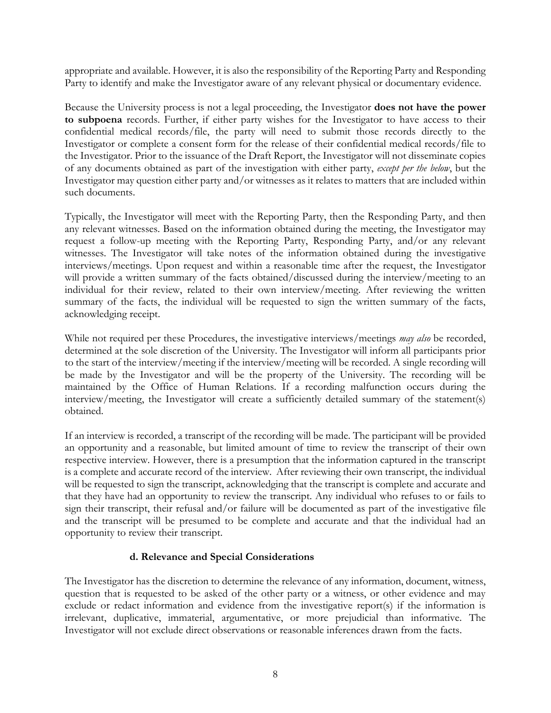appropriate and available. However, it is also the responsibility of the Reporting Party and Responding Party to identify and make the Investigator aware of any relevant physical or documentary evidence.

Because the University process is not a legal proceeding, the Investigator **does not have the power to subpoena** records. Further, if either party wishes for the Investigator to have access to their confidential medical records/file, the party will need to submit those records directly to the Investigator or complete a consent form for the release of their confidential medical records/file to the Investigator. Prior to the issuance of the Draft Report, the Investigator will not disseminate copies of any documents obtained as part of the investigation with either party, *except per the below*, but the Investigator may question either party and/or witnesses as it relates to matters that are included within such documents.

Typically, the Investigator will meet with the Reporting Party, then the Responding Party, and then any relevant witnesses. Based on the information obtained during the meeting, the Investigator may request a follow-up meeting with the Reporting Party, Responding Party, and/or any relevant witnesses. The Investigator will take notes of the information obtained during the investigative interviews/meetings. Upon request and within a reasonable time after the request, the Investigator will provide a written summary of the facts obtained/discussed during the interview/meeting to an individual for their review, related to their own interview/meeting. After reviewing the written summary of the facts, the individual will be requested to sign the written summary of the facts, acknowledging receipt.

While not required per these Procedures, the investigative interviews/meetings *may also* be recorded, determined at the sole discretion of the University. The Investigator will inform all participants prior to the start of the interview/meeting if the interview/meeting will be recorded. A single recording will be made by the Investigator and will be the property of the University. The recording will be maintained by the Office of Human Relations. If a recording malfunction occurs during the interview/meeting, the Investigator will create a sufficiently detailed summary of the statement(s) obtained.

If an interview is recorded, a transcript of the recording will be made. The participant will be provided an opportunity and a reasonable, but limited amount of time to review the transcript of their own respective interview. However, there is a presumption that the information captured in the transcript is a complete and accurate record of the interview. After reviewing their own transcript, the individual will be requested to sign the transcript, acknowledging that the transcript is complete and accurate and that they have had an opportunity to review the transcript. Any individual who refuses to or fails to sign their transcript, their refusal and/or failure will be documented as part of the investigative file and the transcript will be presumed to be complete and accurate and that the individual had an opportunity to review their transcript.

#### **d. Relevance and Special Considerations**

The Investigator has the discretion to determine the relevance of any information, document, witness, question that is requested to be asked of the other party or a witness, or other evidence and may exclude or redact information and evidence from the investigative report(s) if the information is irrelevant, duplicative, immaterial, argumentative, or more prejudicial than informative. The Investigator will not exclude direct observations or reasonable inferences drawn from the facts.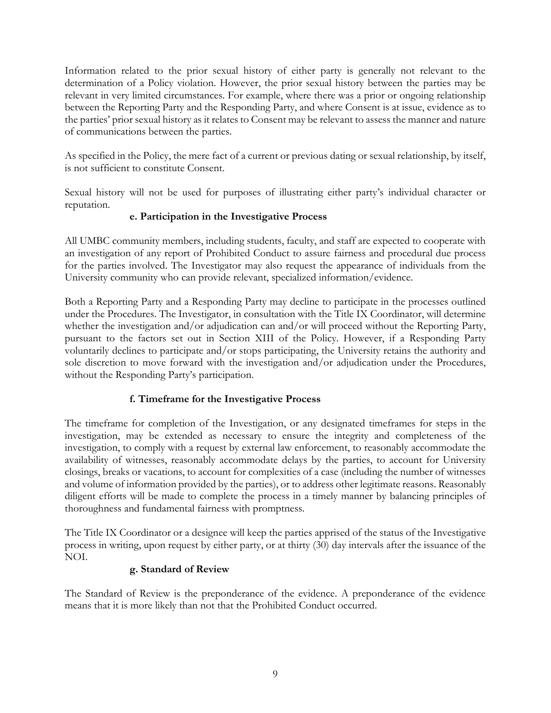Information related to the prior sexual history of either party is generally not relevant to the determination of a Policy violation. However, the prior sexual history between the parties may be relevant in very limited circumstances. For example, where there was a prior or ongoing relationship between the Reporting Party and the Responding Party, and where Consent is at issue, evidence as to the parties' prior sexual history as it relates to Consent may be relevant to assess the manner and nature of communications between the parties.

As specified in the Policy, the mere fact of a current or previous dating or sexual relationship, by itself, is not sufficient to constitute Consent.

Sexual history will not be used for purposes of illustrating either party's individual character or reputation.

#### **e. Participation in the Investigative Process**

All UMBC community members, including students, faculty, and staff are expected to cooperate with an investigation of any report of Prohibited Conduct to assure fairness and procedural due process for the parties involved. The Investigator may also request the appearance of individuals from the University community who can provide relevant, specialized information/evidence.

Both a Reporting Party and a Responding Party may decline to participate in the processes outlined under the Procedures. The Investigator, in consultation with the Title IX Coordinator, will determine whether the investigation and/or adjudication can and/or will proceed without the Reporting Party, pursuant to the factors set out in Section XIII of the Policy. However, if a Responding Party voluntarily declines to participate and/or stops participating, the University retains the authority and sole discretion to move forward with the investigation and/or adjudication under the Procedures, without the Responding Party's participation.

#### **f. Timeframe for the Investigative Process**

The timeframe for completion of the Investigation, or any designated timeframes for steps in the investigation, may be extended as necessary to ensure the integrity and completeness of the investigation, to comply with a request by external law enforcement, to reasonably accommodate the availability of witnesses, reasonably accommodate delays by the parties, to account for University closings, breaks or vacations, to account for complexities of a case (including the number of witnesses and volume of information provided by the parties), or to address other legitimate reasons. Reasonably diligent efforts will be made to complete the process in a timely manner by balancing principles of thoroughness and fundamental fairness with promptness.

The Title IX Coordinator or a designee will keep the parties apprised of the status of the Investigative process in writing, upon request by either party, or at thirty (30) day intervals after the issuance of the NOI.

### **g. Standard of Review**

The Standard of Review is the preponderance of the evidence. A preponderance of the evidence means that it is more likely than not that the Prohibited Conduct occurred.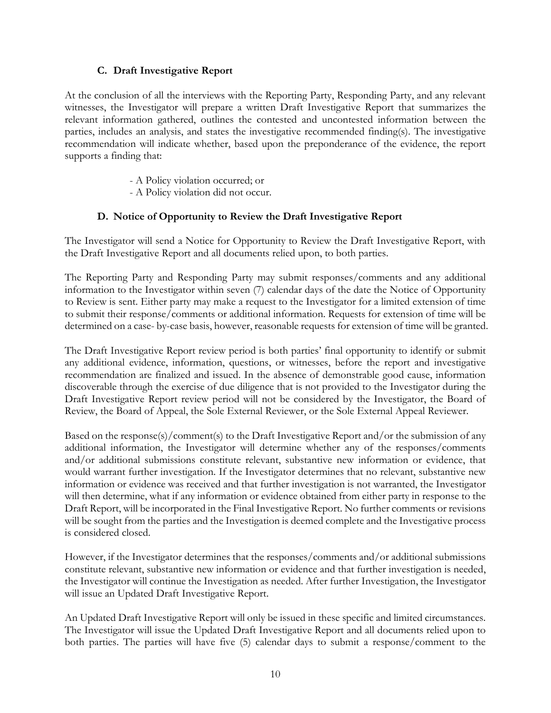#### **C. Draft Investigative Report**

At the conclusion of all the interviews with the Reporting Party, Responding Party, and any relevant witnesses, the Investigator will prepare a written Draft Investigative Report that summarizes the relevant information gathered, outlines the contested and uncontested information between the parties, includes an analysis, and states the investigative recommended finding(s). The investigative recommendation will indicate whether, based upon the preponderance of the evidence, the report supports a finding that:

- A Policy violation occurred; or
- A Policy violation did not occur.

#### **D. Notice of Opportunity to Review the Draft Investigative Report**

The Investigator will send a Notice for Opportunity to Review the Draft Investigative Report, with the Draft Investigative Report and all documents relied upon, to both parties.

The Reporting Party and Responding Party may submit responses/comments and any additional information to the Investigator within seven (7) calendar days of the date the Notice of Opportunity to Review is sent. Either party may make a request to the Investigator for a limited extension of time to submit their response/comments or additional information. Requests for extension of time will be determined on a case- by-case basis, however, reasonable requests for extension of time will be granted.

The Draft Investigative Report review period is both parties' final opportunity to identify or submit any additional evidence, information, questions, or witnesses, before the report and investigative recommendation are finalized and issued. In the absence of demonstrable good cause, information discoverable through the exercise of due diligence that is not provided to the Investigator during the Draft Investigative Report review period will not be considered by the Investigator, the Board of Review, the Board of Appeal, the Sole External Reviewer, or the Sole External Appeal Reviewer.

Based on the response(s)/comment(s) to the Draft Investigative Report and/or the submission of any additional information, the Investigator will determine whether any of the responses/comments and/or additional submissions constitute relevant, substantive new information or evidence, that would warrant further investigation. If the Investigator determines that no relevant, substantive new information or evidence was received and that further investigation is not warranted, the Investigator will then determine, what if any information or evidence obtained from either party in response to the Draft Report, will be incorporated in the Final Investigative Report. No further comments or revisions will be sought from the parties and the Investigation is deemed complete and the Investigative process is considered closed.

However, if the Investigator determines that the responses/comments and/or additional submissions constitute relevant, substantive new information or evidence and that further investigation is needed, the Investigator will continue the Investigation as needed. After further Investigation, the Investigator will issue an Updated Draft Investigative Report.

An Updated Draft Investigative Report will only be issued in these specific and limited circumstances. The Investigator will issue the Updated Draft Investigative Report and all documents relied upon to both parties. The parties will have five (5) calendar days to submit a response/comment to the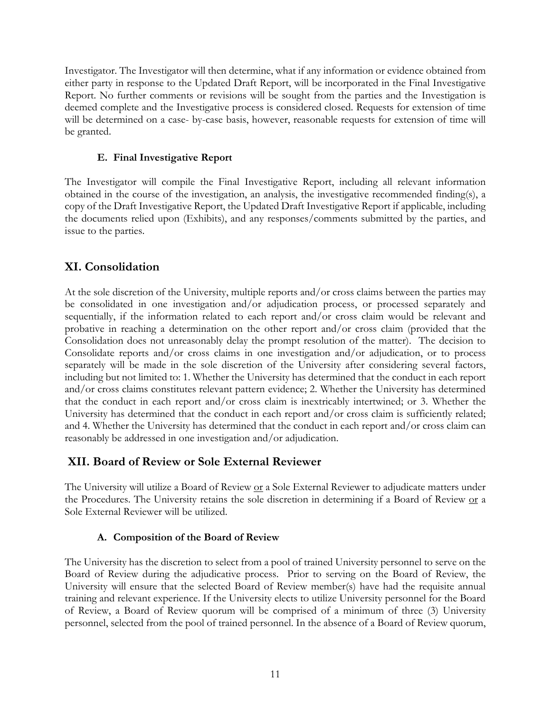Investigator. The Investigator will then determine, what if any information or evidence obtained from either party in response to the Updated Draft Report, will be incorporated in the Final Investigative Report. No further comments or revisions will be sought from the parties and the Investigation is deemed complete and the Investigative process is considered closed. Requests for extension of time will be determined on a case- by-case basis, however, reasonable requests for extension of time will be granted.

#### **E. Final Investigative Report**

The Investigator will compile the Final Investigative Report, including all relevant information obtained in the course of the investigation, an analysis, the investigative recommended finding(s), a copy of the Draft Investigative Report, the Updated Draft Investigative Report if applicable, including the documents relied upon (Exhibits), and any responses/comments submitted by the parties, and issue to the parties.

### **XI. Consolidation**

At the sole discretion of the University, multiple reports and/or cross claims between the parties may be consolidated in one investigation and/or adjudication process, or processed separately and sequentially, if the information related to each report and/or cross claim would be relevant and probative in reaching a determination on the other report and/or cross claim (provided that the Consolidation does not unreasonably delay the prompt resolution of the matter). The decision to Consolidate reports and/or cross claims in one investigation and/or adjudication, or to process separately will be made in the sole discretion of the University after considering several factors, including but not limited to: 1. Whether the University has determined that the conduct in each report and/or cross claims constitutes relevant pattern evidence; 2. Whether the University has determined that the conduct in each report and/or cross claim is inextricably intertwined; or 3. Whether the University has determined that the conduct in each report and/or cross claim is sufficiently related; and 4. Whether the University has determined that the conduct in each report and/or cross claim can reasonably be addressed in one investigation and/or adjudication.

### **XII. Board of Review or Sole External Reviewer**

The University will utilize a Board of Review <u>or</u> a Sole External Reviewer to adjudicate matters under the Procedures. The University retains the sole discretion in determining if a Board of Review or a Sole External Reviewer will be utilized.

#### **A. Composition of the Board of Review**

The University has the discretion to select from a pool of trained University personnel to serve on the Board of Review during the adjudicative process. Prior to serving on the Board of Review, the University will ensure that the selected Board of Review member(s) have had the requisite annual training and relevant experience. If the University elects to utilize University personnel for the Board of Review, a Board of Review quorum will be comprised of a minimum of three (3) University personnel, selected from the pool of trained personnel. In the absence of a Board of Review quorum,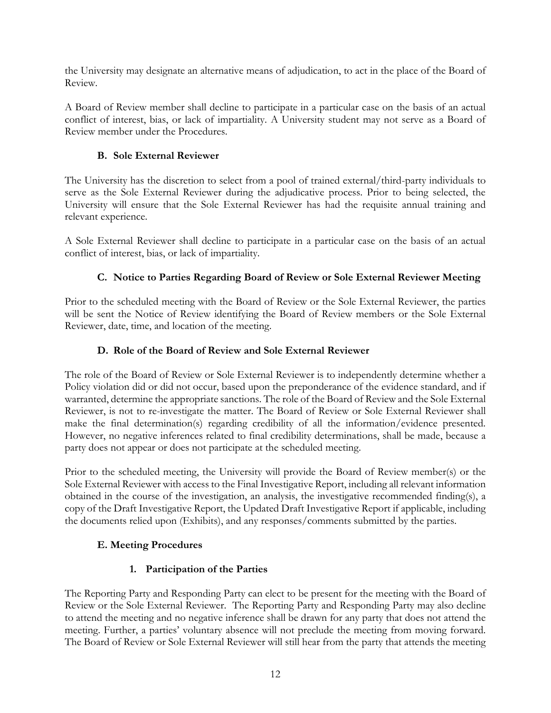the University may designate an alternative means of adjudication, to act in the place of the Board of Review.

A Board of Review member shall decline to participate in a particular case on the basis of an actual conflict of interest, bias, or lack of impartiality. A University student may not serve as a Board of Review member under the Procedures.

#### **B. Sole External Reviewer**

The University has the discretion to select from a pool of trained external/third-party individuals to serve as the Sole External Reviewer during the adjudicative process. Prior to being selected, the University will ensure that the Sole External Reviewer has had the requisite annual training and relevant experience.

A Sole External Reviewer shall decline to participate in a particular case on the basis of an actual conflict of interest, bias, or lack of impartiality.

#### **C. Notice to Parties Regarding Board of Review or Sole External Reviewer Meeting**

Prior to the scheduled meeting with the Board of Review or the Sole External Reviewer, the parties will be sent the Notice of Review identifying the Board of Review members or the Sole External Reviewer, date, time, and location of the meeting.

#### **D. Role of the Board of Review and Sole External Reviewer**

The role of the Board of Review or Sole External Reviewer is to independently determine whether a Policy violation did or did not occur, based upon the preponderance of the evidence standard, and if warranted, determine the appropriate sanctions. The role of the Board of Review and the Sole External Reviewer, is not to re-investigate the matter. The Board of Review or Sole External Reviewer shall make the final determination(s) regarding credibility of all the information/evidence presented. However, no negative inferences related to final credibility determinations, shall be made, because a party does not appear or does not participate at the scheduled meeting.

Prior to the scheduled meeting, the University will provide the Board of Review member(s) or the Sole External Reviewer with access to the Final Investigative Report, including all relevant information obtained in the course of the investigation, an analysis, the investigative recommended finding(s), a copy of the Draft Investigative Report, the Updated Draft Investigative Report if applicable, including the documents relied upon (Exhibits), and any responses/comments submitted by the parties.

#### **E. Meeting Procedures**

#### **1. Participation of the Parties**

The Reporting Party and Responding Party can elect to be present for the meeting with the Board of Review or the Sole External Reviewer. The Reporting Party and Responding Party may also decline to attend the meeting and no negative inference shall be drawn for any party that does not attend the meeting. Further, a parties' voluntary absence will not preclude the meeting from moving forward. The Board of Review or Sole External Reviewer will still hear from the party that attends the meeting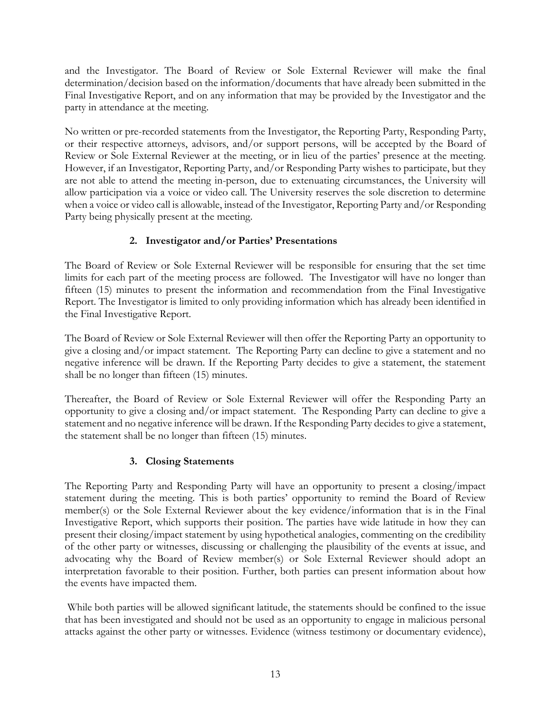and the Investigator. The Board of Review or Sole External Reviewer will make the final determination/decision based on the information/documents that have already been submitted in the Final Investigative Report, and on any information that may be provided by the Investigator and the party in attendance at the meeting.

No written or pre-recorded statements from the Investigator, the Reporting Party, Responding Party, or their respective attorneys, advisors, and/or support persons, will be accepted by the Board of Review or Sole External Reviewer at the meeting, or in lieu of the parties' presence at the meeting. However, if an Investigator, Reporting Party, and/or Responding Party wishes to participate, but they are not able to attend the meeting in-person, due to extenuating circumstances, the University will allow participation via a voice or video call. The University reserves the sole discretion to determine when a voice or video call is allowable, instead of the Investigator, Reporting Party and/or Responding Party being physically present at the meeting.

#### **2. Investigator and/or Parties' Presentations**

The Board of Review or Sole External Reviewer will be responsible for ensuring that the set time limits for each part of the meeting process are followed. The Investigator will have no longer than fifteen (15) minutes to present the information and recommendation from the Final Investigative Report. The Investigator is limited to only providing information which has already been identified in the Final Investigative Report.

The Board of Review or Sole External Reviewer will then offer the Reporting Party an opportunity to give a closing and/or impact statement. The Reporting Party can decline to give a statement and no negative inference will be drawn. If the Reporting Party decides to give a statement, the statement shall be no longer than fifteen (15) minutes.

Thereafter, the Board of Review or Sole External Reviewer will offer the Responding Party an opportunity to give a closing and/or impact statement. The Responding Party can decline to give a statement and no negative inference will be drawn. If the Responding Party decides to give a statement, the statement shall be no longer than fifteen (15) minutes.

#### **3. Closing Statements**

The Reporting Party and Responding Party will have an opportunity to present a closing/impact statement during the meeting. This is both parties' opportunity to remind the Board of Review member(s) or the Sole External Reviewer about the key evidence/information that is in the Final Investigative Report, which supports their position. The parties have wide latitude in how they can present their closing/impact statement by using hypothetical analogies, commenting on the credibility of the other party or witnesses, discussing or challenging the plausibility of the events at issue, and advocating why the Board of Review member(s) or Sole External Reviewer should adopt an interpretation favorable to their position. Further, both parties can present information about how the events have impacted them.

While both parties will be allowed significant latitude, the statements should be confined to the issue that has been investigated and should not be used as an opportunity to engage in malicious personal attacks against the other party or witnesses. Evidence (witness testimony or documentary evidence),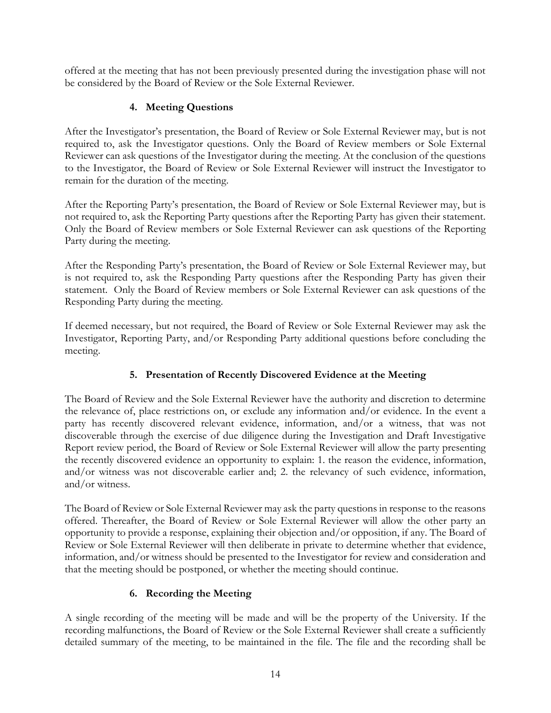offered at the meeting that has not been previously presented during the investigation phase will not be considered by the Board of Review or the Sole External Reviewer.

#### **4. Meeting Questions**

After the Investigator's presentation, the Board of Review or Sole External Reviewer may, but is not required to, ask the Investigator questions. Only the Board of Review members or Sole External Reviewer can ask questions of the Investigator during the meeting. At the conclusion of the questions to the Investigator, the Board of Review or Sole External Reviewer will instruct the Investigator to remain for the duration of the meeting.

After the Reporting Party's presentation, the Board of Review or Sole External Reviewer may, but is not required to, ask the Reporting Party questions after the Reporting Party has given their statement. Only the Board of Review members or Sole External Reviewer can ask questions of the Reporting Party during the meeting.

After the Responding Party's presentation, the Board of Review or Sole External Reviewer may, but is not required to, ask the Responding Party questions after the Responding Party has given their statement. Only the Board of Review members or Sole External Reviewer can ask questions of the Responding Party during the meeting.

If deemed necessary, but not required, the Board of Review or Sole External Reviewer may ask the Investigator, Reporting Party, and/or Responding Party additional questions before concluding the meeting.

### **5. Presentation of Recently Discovered Evidence at the Meeting**

The Board of Review and the Sole External Reviewer have the authority and discretion to determine the relevance of, place restrictions on, or exclude any information and/or evidence. In the event a party has recently discovered relevant evidence, information, and/or a witness, that was not discoverable through the exercise of due diligence during the Investigation and Draft Investigative Report review period, the Board of Review or Sole External Reviewer will allow the party presenting the recently discovered evidence an opportunity to explain: 1. the reason the evidence, information, and/or witness was not discoverable earlier and; 2. the relevancy of such evidence, information, and/or witness.

The Board of Review or Sole External Reviewer may ask the party questions in response to the reasons offered. Thereafter, the Board of Review or Sole External Reviewer will allow the other party an opportunity to provide a response, explaining their objection and/or opposition, if any. The Board of Review or Sole External Reviewer will then deliberate in private to determine whether that evidence, information, and/or witness should be presented to the Investigator for review and consideration and that the meeting should be postponed, or whether the meeting should continue.

### **6. Recording the Meeting**

A single recording of the meeting will be made and will be the property of the University. If the recording malfunctions, the Board of Review or the Sole External Reviewer shall create a sufficiently detailed summary of the meeting, to be maintained in the file. The file and the recording shall be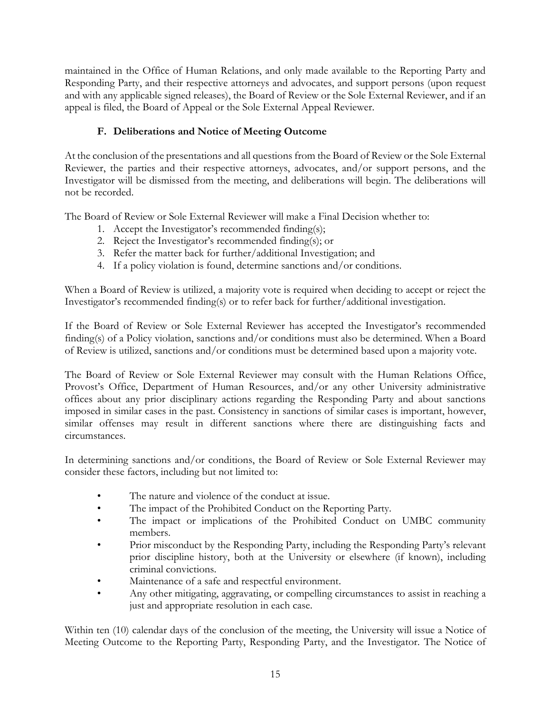maintained in the Office of Human Relations, and only made available to the Reporting Party and Responding Party, and their respective attorneys and advocates, and support persons (upon request and with any applicable signed releases), the Board of Review or the Sole External Reviewer, and if an appeal is filed, the Board of Appeal or the Sole External Appeal Reviewer.

### **F. Deliberations and Notice of Meeting Outcome**

At the conclusion of the presentations and all questions from the Board of Review or the Sole External Reviewer, the parties and their respective attorneys, advocates, and/or support persons, and the Investigator will be dismissed from the meeting, and deliberations will begin. The deliberations will not be recorded.

The Board of Review or Sole External Reviewer will make a Final Decision whether to:

- 1. Accept the Investigator's recommended finding(s);
- 2. Reject the Investigator's recommended finding(s); or
- 3. Refer the matter back for further/additional Investigation; and
- 4. If a policy violation is found, determine sanctions and/or conditions.

When a Board of Review is utilized, a majority vote is required when deciding to accept or reject the Investigator's recommended finding(s) or to refer back for further/additional investigation.

If the Board of Review or Sole External Reviewer has accepted the Investigator's recommended finding(s) of a Policy violation, sanctions and/or conditions must also be determined. When a Board of Review is utilized, sanctions and/or conditions must be determined based upon a majority vote.

The Board of Review or Sole External Reviewer may consult with the Human Relations Office, Provost's Office, Department of Human Resources, and/or any other University administrative offices about any prior disciplinary actions regarding the Responding Party and about sanctions imposed in similar cases in the past. Consistency in sanctions of similar cases is important, however, similar offenses may result in different sanctions where there are distinguishing facts and circumstances.

In determining sanctions and/or conditions, the Board of Review or Sole External Reviewer may consider these factors, including but not limited to:

- The nature and violence of the conduct at issue.
- The impact of the Prohibited Conduct on the Reporting Party.
- The impact or implications of the Prohibited Conduct on UMBC community members.
- Prior misconduct by the Responding Party, including the Responding Party's relevant prior discipline history, both at the University or elsewhere (if known), including criminal convictions.
- Maintenance of a safe and respectful environment.
- Any other mitigating, aggravating, or compelling circumstances to assist in reaching a just and appropriate resolution in each case.

Within ten (10) calendar days of the conclusion of the meeting, the University will issue a Notice of Meeting Outcome to the Reporting Party, Responding Party, and the Investigator. The Notice of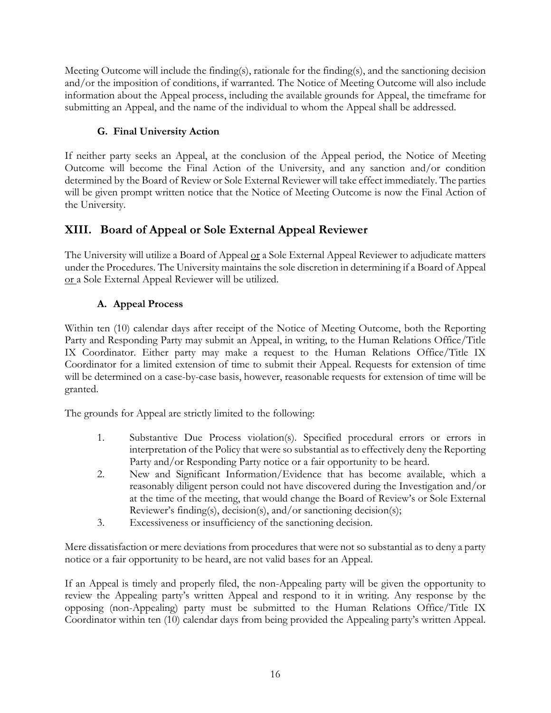Meeting Outcome will include the finding(s), rationale for the finding(s), and the sanctioning decision and/or the imposition of conditions, if warranted. The Notice of Meeting Outcome will also include information about the Appeal process, including the available grounds for Appeal, the timeframe for submitting an Appeal, and the name of the individual to whom the Appeal shall be addressed.

## **G. Final University Action**

If neither party seeks an Appeal, at the conclusion of the Appeal period, the Notice of Meeting Outcome will become the Final Action of the University, and any sanction and/or condition determined by the Board of Review or Sole External Reviewer will take effect immediately. The parties will be given prompt written notice that the Notice of Meeting Outcome is now the Final Action of the University.

# **XIII. Board of Appeal or Sole External Appeal Reviewer**

The University will utilize a Board of Appeal or a Sole External Appeal Reviewer to adjudicate matters under the Procedures. The University maintains the sole discretion in determining if a Board of Appeal or a Sole External Appeal Reviewer will be utilized.

### **A. Appeal Process**

Within ten (10) calendar days after receipt of the Notice of Meeting Outcome, both the Reporting Party and Responding Party may submit an Appeal, in writing, to the Human Relations Office/Title IX Coordinator. Either party may make a request to the Human Relations Office/Title IX Coordinator for a limited extension of time to submit their Appeal. Requests for extension of time will be determined on a case-by-case basis, however, reasonable requests for extension of time will be granted.

The grounds for Appeal are strictly limited to the following:

- 1. Substantive Due Process violation(s). Specified procedural errors or errors in interpretation of the Policy that were so substantial as to effectively deny the Reporting Party and/or Responding Party notice or a fair opportunity to be heard.
- 2. New and Significant Information/Evidence that has become available, which a reasonably diligent person could not have discovered during the Investigation and/or at the time of the meeting, that would change the Board of Review's or Sole External Reviewer's finding(s), decision(s), and/or sanctioning decision(s);
- 3. Excessiveness or insufficiency of the sanctioning decision.

Mere dissatisfaction or mere deviations from procedures that were not so substantial as to deny a party notice or a fair opportunity to be heard, are not valid bases for an Appeal.

If an Appeal is timely and properly filed, the non-Appealing party will be given the opportunity to review the Appealing party's written Appeal and respond to it in writing. Any response by the opposing (non-Appealing) party must be submitted to the Human Relations Office/Title IX Coordinator within ten (10) calendar days from being provided the Appealing party's written Appeal.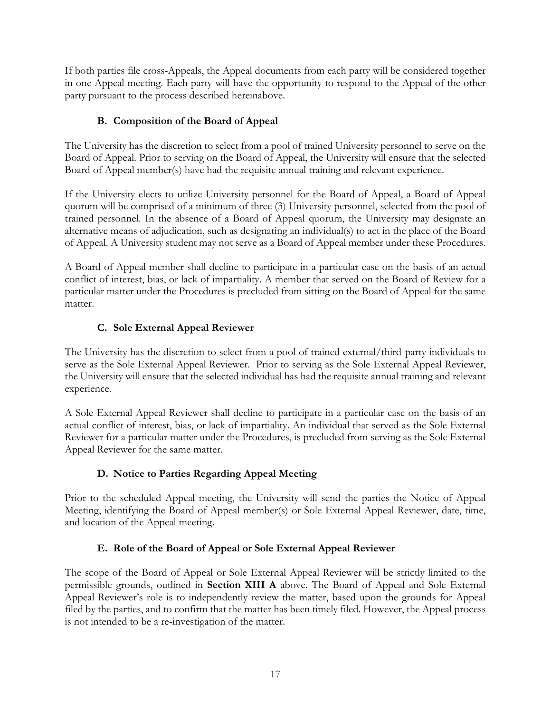If both parties file cross-Appeals, the Appeal documents from each party will be considered together in one Appeal meeting. Each party will have the opportunity to respond to the Appeal of the other party pursuant to the process described hereinabove.

### **B. Composition of the Board of Appeal**

The University has the discretion to select from a pool of trained University personnel to serve on the Board of Appeal. Prior to serving on the Board of Appeal, the University will ensure that the selected Board of Appeal member(s) have had the requisite annual training and relevant experience.

If the University elects to utilize University personnel for the Board of Appeal, a Board of Appeal quorum will be comprised of a minimum of three (3) University personnel, selected from the pool of trained personnel. In the absence of a Board of Appeal quorum, the University may designate an alternative means of adjudication, such as designating an individual(s) to act in the place of the Board of Appeal. A University student may not serve as a Board of Appeal member under these Procedures.

A Board of Appeal member shall decline to participate in a particular case on the basis of an actual conflict of interest, bias, or lack of impartiality. A member that served on the Board of Review for a particular matter under the Procedures is precluded from sitting on the Board of Appeal for the same matter.

### **C. Sole External Appeal Reviewer**

The University has the discretion to select from a pool of trained external/third-party individuals to serve as the Sole External Appeal Reviewer. Prior to serving as the Sole External Appeal Reviewer, the University will ensure that the selected individual has had the requisite annual training and relevant experience.

A Sole External Appeal Reviewer shall decline to participate in a particular case on the basis of an actual conflict of interest, bias, or lack of impartiality. An individual that served as the Sole External Reviewer for a particular matter under the Procedures, is precluded from serving as the Sole External Appeal Reviewer for the same matter.

### **D. Notice to Parties Regarding Appeal Meeting**

Prior to the scheduled Appeal meeting, the University will send the parties the Notice of Appeal Meeting, identifying the Board of Appeal member(s) or Sole External Appeal Reviewer, date, time, and location of the Appeal meeting.

### **E. Role of the Board of Appeal or Sole External Appeal Reviewer**

The scope of the Board of Appeal or Sole External Appeal Reviewer will be strictly limited to the permissible grounds, outlined in **Section XIII A** above. The Board of Appeal and Sole External Appeal Reviewer's role is to independently review the matter, based upon the grounds for Appeal filed by the parties, and to confirm that the matter has been timely filed. However, the Appeal process is not intended to be a re-investigation of the matter.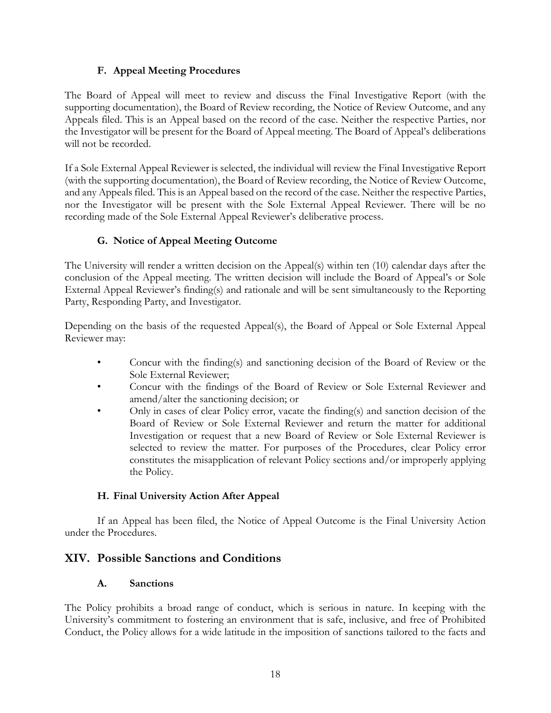#### **F. Appeal Meeting Procedures**

The Board of Appeal will meet to review and discuss the Final Investigative Report (with the supporting documentation), the Board of Review recording, the Notice of Review Outcome, and any Appeals filed. This is an Appeal based on the record of the case. Neither the respective Parties, nor the Investigator will be present for the Board of Appeal meeting. The Board of Appeal's deliberations will not be recorded.

If a Sole External Appeal Reviewer is selected, the individual will review the Final Investigative Report (with the supporting documentation), the Board of Review recording, the Notice of Review Outcome, and any Appeals filed. This is an Appeal based on the record of the case. Neither the respective Parties, nor the Investigator will be present with the Sole External Appeal Reviewer. There will be no recording made of the Sole External Appeal Reviewer's deliberative process.

#### **G. Notice of Appeal Meeting Outcome**

The University will render a written decision on the Appeal(s) within ten (10) calendar days after the conclusion of the Appeal meeting. The written decision will include the Board of Appeal's or Sole External Appeal Reviewer's finding(s) and rationale and will be sent simultaneously to the Reporting Party, Responding Party, and Investigator.

Depending on the basis of the requested Appeal(s), the Board of Appeal or Sole External Appeal Reviewer may:

- Concur with the finding(s) and sanctioning decision of the Board of Review or the Sole External Reviewer;
- Concur with the findings of the Board of Review or Sole External Reviewer and amend/alter the sanctioning decision; or
- Only in cases of clear Policy error, vacate the finding(s) and sanction decision of the Board of Review or Sole External Reviewer and return the matter for additional Investigation or request that a new Board of Review or Sole External Reviewer is selected to review the matter. For purposes of the Procedures, clear Policy error constitutes the misapplication of relevant Policy sections and/or improperly applying the Policy.

#### **H. Final University Action After Appeal**

If an Appeal has been filed, the Notice of Appeal Outcome is the Final University Action under the Procedures.

#### **XIV. Possible Sanctions and Conditions**

#### **A. Sanctions**

The Policy prohibits a broad range of conduct, which is serious in nature. In keeping with the University's commitment to fostering an environment that is safe, inclusive, and free of Prohibited Conduct, the Policy allows for a wide latitude in the imposition of sanctions tailored to the facts and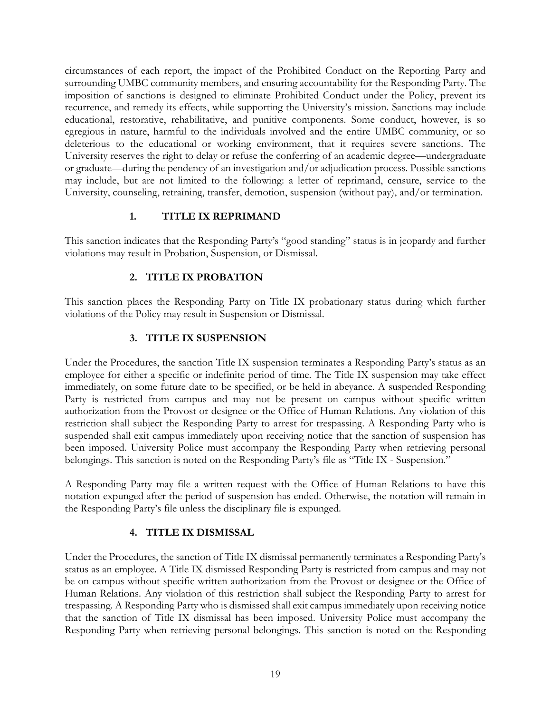circumstances of each report, the impact of the Prohibited Conduct on the Reporting Party and surrounding UMBC community members, and ensuring accountability for the Responding Party. The imposition of sanctions is designed to eliminate Prohibited Conduct under the Policy, prevent its recurrence, and remedy its effects, while supporting the University's mission. Sanctions may include educational, restorative, rehabilitative, and punitive components. Some conduct, however, is so egregious in nature, harmful to the individuals involved and the entire UMBC community, or so deleterious to the educational or working environment, that it requires severe sanctions. The University reserves the right to delay or refuse the conferring of an academic degree—undergraduate or graduate—during the pendency of an investigation and/or adjudication process. Possible sanctions may include, but are not limited to the following: a letter of reprimand, censure, service to the University, counseling, retraining, transfer, demotion, suspension (without pay), and/or termination.

#### **1. TITLE IX REPRIMAND**

This sanction indicates that the Responding Party's "good standing" status is in jeopardy and further violations may result in Probation, Suspension, or Dismissal.

#### **2. TITLE IX PROBATION**

This sanction places the Responding Party on Title IX probationary status during which further violations of the Policy may result in Suspension or Dismissal.

#### **3. TITLE IX SUSPENSION**

Under the Procedures, the sanction Title IX suspension terminates a Responding Party's status as an employee for either a specific or indefinite period of time. The Title IX suspension may take effect immediately, on some future date to be specified, or be held in abeyance. A suspended Responding Party is restricted from campus and may not be present on campus without specific written authorization from the Provost or designee or the Office of Human Relations. Any violation of this restriction shall subject the Responding Party to arrest for trespassing. A Responding Party who is suspended shall exit campus immediately upon receiving notice that the sanction of suspension has been imposed. University Police must accompany the Responding Party when retrieving personal belongings. This sanction is noted on the Responding Party's file as "Title IX - Suspension."

A Responding Party may file a written request with the Office of Human Relations to have this notation expunged after the period of suspension has ended. Otherwise, the notation will remain in the Responding Party's file unless the disciplinary file is expunged.

#### **4. TITLE IX DISMISSAL**

Under the Procedures, the sanction of Title IX dismissal permanently terminates a Responding Party's status as an employee. A Title IX dismissed Responding Party is restricted from campus and may not be on campus without specific written authorization from the Provost or designee or the Office of Human Relations. Any violation of this restriction shall subject the Responding Party to arrest for trespassing. A Responding Party who is dismissed shall exit campus immediately upon receiving notice that the sanction of Title IX dismissal has been imposed. University Police must accompany the Responding Party when retrieving personal belongings. This sanction is noted on the Responding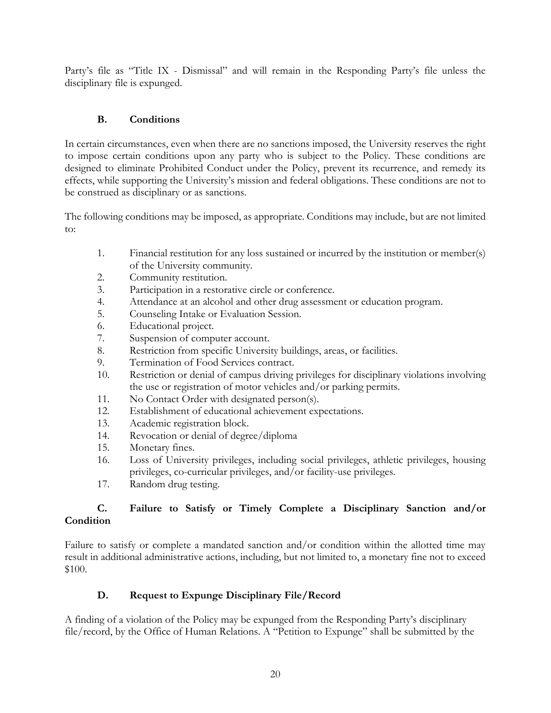Party's file as "Title IX - Dismissal" and will remain in the Responding Party's file unless the disciplinary file is expunged.

#### **B. Conditions**

In certain circumstances, even when there are no sanctions imposed, the University reserves the right to impose certain conditions upon any party who is subject to the Policy. These conditions are designed to eliminate Prohibited Conduct under the Policy, prevent its recurrence, and remedy its effects, while supporting the University's mission and federal obligations. These conditions are not to be construed as disciplinary or as sanctions.

The following conditions may be imposed, as appropriate. Conditions may include, but are not limited to:

- 1. Financial restitution for any loss sustained or incurred by the institution or member(s) of the University community.
- 2. Community restitution.
- 3. Participation in a restorative circle or conference.
- 4. Attendance at an alcohol and other drug assessment or education program.
- 5. Counseling Intake or Evaluation Session.
- 6. Educational project.
- 7. Suspension of computer account.
- 8. Restriction from specific University buildings, areas, or facilities.
- 9. Termination of Food Services contract.
- 10. Restriction or denial of campus driving privileges for disciplinary violations involving the use or registration of motor vehicles and/or parking permits.
- 11. No Contact Order with designated person(s).
- 12. Establishment of educational achievement expectations.
- 13. Academic registration block.
- 14. Revocation or denial of degree/diploma
- 15. Monetary fines.
- 16. Loss of University privileges, including social privileges, athletic privileges, housing privileges, co-curricular privileges, and/or facility-use privileges.
- 17. Random drug testing.

#### **C. Failure to Satisfy or Timely Complete a Disciplinary Sanction and/or Condition**

Failure to satisfy or complete a mandated sanction and/or condition within the allotted time may result in additional administrative actions, including, but not limited to, a monetary fine not to exceed \$100.

### **D. Request to Expunge Disciplinary File/Record**

A finding of a violation of the Policy may be expunged from the Responding Party's disciplinary file/record, by the Office of Human Relations. A "Petition to Expunge" shall be submitted by the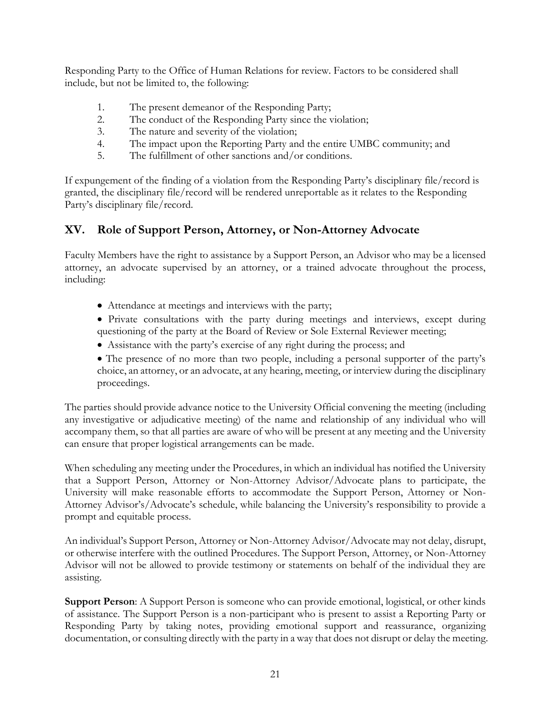Responding Party to the Office of Human Relations for review. Factors to be considered shall include, but not be limited to, the following:

- 1. The present demeanor of the Responding Party;
- 2. The conduct of the Responding Party since the violation;
- 3. The nature and severity of the violation;
- 4. The impact upon the Reporting Party and the entire UMBC community; and
- 5. The fulfillment of other sanctions and/or conditions.

If expungement of the finding of a violation from the Responding Party's disciplinary file/record is granted, the disciplinary file/record will be rendered unreportable as it relates to the Responding Party's disciplinary file/record.

# **XV. Role of Support Person, Attorney, or Non-Attorney Advocate**

Faculty Members have the right to assistance by a Support Person, an Advisor who may be a licensed attorney, an advocate supervised by an attorney, or a trained advocate throughout the process, including:

- Attendance at meetings and interviews with the party;
- Private consultations with the party during meetings and interviews, except during questioning of the party at the Board of Review or Sole External Reviewer meeting;
- Assistance with the party's exercise of any right during the process; and
- The presence of no more than two people, including a personal supporter of the party's choice, an attorney, or an advocate, at any hearing, meeting, or interview during the disciplinary proceedings.

The parties should provide advance notice to the University Official convening the meeting (including any investigative or adjudicative meeting) of the name and relationship of any individual who will accompany them, so that all parties are aware of who will be present at any meeting and the University can ensure that proper logistical arrangements can be made.

When scheduling any meeting under the Procedures, in which an individual has notified the University that a Support Person, Attorney or Non-Attorney Advisor/Advocate plans to participate, the University will make reasonable efforts to accommodate the Support Person, Attorney or Non-Attorney Advisor's/Advocate's schedule, while balancing the University's responsibility to provide a prompt and equitable process.

An individual's Support Person, Attorney or Non-Attorney Advisor/Advocate may not delay, disrupt, or otherwise interfere with the outlined Procedures. The Support Person, Attorney, or Non-Attorney Advisor will not be allowed to provide testimony or statements on behalf of the individual they are assisting.

**Support Person**: A Support Person is someone who can provide emotional, logistical, or other kinds of assistance. The Support Person is a non-participant who is present to assist a Reporting Party or Responding Party by taking notes, providing emotional support and reassurance, organizing documentation, or consulting directly with the party in a way that does not disrupt or delay the meeting.